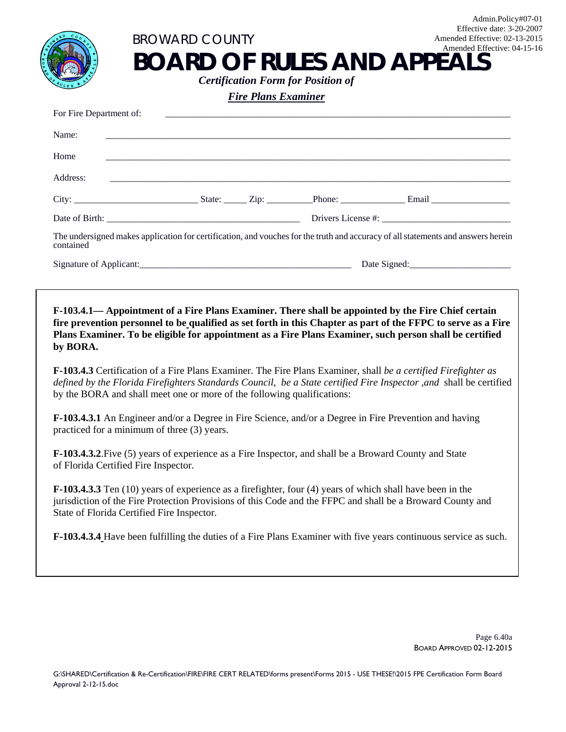| <b>Fire Plans Examiner</b>                                                                                                                                                                                                                                                   |  |  |                                                                                                                                                                                                                          |
|------------------------------------------------------------------------------------------------------------------------------------------------------------------------------------------------------------------------------------------------------------------------------|--|--|--------------------------------------------------------------------------------------------------------------------------------------------------------------------------------------------------------------------------|
| For Fire Department of:                                                                                                                                                                                                                                                      |  |  |                                                                                                                                                                                                                          |
| Name:                                                                                                                                                                                                                                                                        |  |  |                                                                                                                                                                                                                          |
| Home                                                                                                                                                                                                                                                                         |  |  |                                                                                                                                                                                                                          |
| Address:                                                                                                                                                                                                                                                                     |  |  |                                                                                                                                                                                                                          |
|                                                                                                                                                                                                                                                                              |  |  |                                                                                                                                                                                                                          |
|                                                                                                                                                                                                                                                                              |  |  |                                                                                                                                                                                                                          |
| contained                                                                                                                                                                                                                                                                    |  |  | The undersigned makes application for certification, and vouches for the truth and accuracy of all statements and answers herein                                                                                         |
|                                                                                                                                                                                                                                                                              |  |  |                                                                                                                                                                                                                          |
|                                                                                                                                                                                                                                                                              |  |  | fire prevention personnel to be qualified as set forth in this Chapter as part of the FFPC to serve as a Fire<br>Plans Examiner. To be eligible for appointment as a Fire Plans Examiner, such person shall be certified |
| F-103.4.1— Appointment of a Fire Plans Examiner. There shall be appointed by the Fire Chief certain<br>by BORA.<br>F-103.4.3 Certification of a Fire Plans Examiner. The Fire Plans Examiner, shall be a certified Firefighter as                                            |  |  |                                                                                                                                                                                                                          |
| by the BORA and shall meet one or more of the following qualifications:                                                                                                                                                                                                      |  |  | defined by the Florida Firefighters Standards Council, be a State certified Fire Inspector ,and shall be certified                                                                                                       |
| <b>F-103.4.3.1</b> An Engineer and/or a Degree in Fire Science, and/or a Degree in Fire Prevention and having<br>practiced for a minimum of three (3) years.                                                                                                                 |  |  |                                                                                                                                                                                                                          |
| F-103.4.3.2. Five (5) years of experience as a Fire Inspector, and shall be a Broward County and State<br>of Florida Certified Fire Inspector.                                                                                                                               |  |  |                                                                                                                                                                                                                          |
| <b>F-103.4.3.3</b> Ten (10) years of experience as a firefighter, four (4) years of which shall have been in the<br>jurisdiction of the Fire Protection Provisions of this Code and the FFPC and shall be a Broward County and<br>State of Florida Certified Fire Inspector. |  |  |                                                                                                                                                                                                                          |

Page 6.40a BOARD APPROVED 02-12-2015